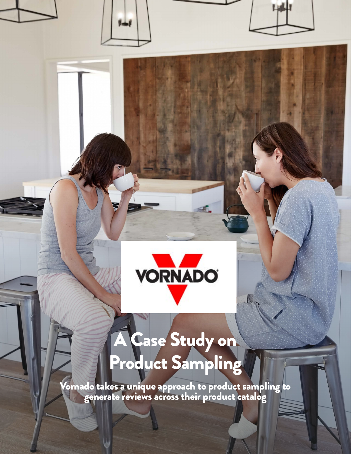

# A Case Study on Product Sampling

Vornado takes a unique approach to product sampling to generate reviews across their product catalog

info@powerreviews.com | 844-231-7540 or 312-447-6100 | www.powerreviews.com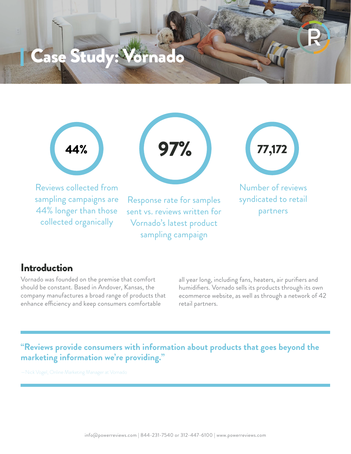Case Study: Vornado

Reviews collected from sampling campaigns are 44% longer than those

collected organically



Response rate for samples sent vs. reviews written for Vornado's latest product sampling campaign



Number of reviews syndicated to retail partners

#### Introduction

Vornado was founded on the premise that comfort should be constant. Based in Andover, Kansas, the company manufactures a broad range of products that enhance efficiency and keep consumers comfortable

all year long, including fans, heaters, air purifiers and humidifiers. Vornado sells its products through its own ecommerce website, as well as through a network of 42 retail partners.

**"Reviews provide consumers with information about products that goes beyond the marketing information we're providing."**

—Nick Vogel, Online Marketing Manager at Vornado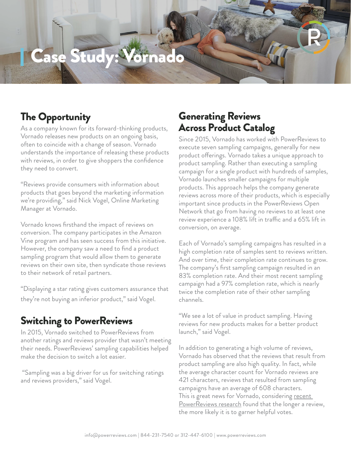## Case Study: Vorna

### The Opportunity

As a company known for its forward-thinking products, Vornado releases new products on an ongoing basis, often to coincide with a change of season. Vornado understands the importance of releasing these products with reviews, in order to give shoppers the confidence they need to convert.

"Reviews provide consumers with information about products that goes beyond the marketing information we're providing," said Nick Vogel, Online Marketing Manager at Vornado.

Vornado knows firsthand the impact of reviews on conversion. The company participates in the Amazon Vine program and has seen success from this initiative. However, the company saw a need to find a product sampling program that would allow them to generate reviews on their own site, then syndicate those reviews to their network of retail partners.

"Displaying a star rating gives customers assurance that they're not buying an inferior product," said Vogel.

#### Switching to PowerReviews

In 2015, Vornado switched to PowerReviews from another ratings and reviews provider that wasn't meeting their needs. PowerReviews' sampling capabilities helped make the decision to switch a lot easier.

 "Sampling was a big driver for us for switching ratings and reviews providers," said Vogel.

#### Generating Reviews Across Product Catalog

Since 2015, Vornado has worked with PowerReviews to execute seven sampling campaigns, generally for new product offerings. Vornado takes a unique approach to product sampling. Rather than executing a sampling campaign for a single product with hundreds of samples, Vornado launches smaller campaigns for multiple products. This approach helps the company generate reviews across more of their products, which is especially important since products in the PowerReviews Open Network that go from having no reviews to at least one review experience a 108% lift in traffic and a 65% lift in conversion, on average.

Each of Vornado's sampling campaigns has resulted in a high completion rate of samples sent to reviews written. And over time, their completion rate continues to grow. The company's first sampling campaign resulted in an 83% completion rate. And their most recent sampling campaign had a 97% completion rate, which is nearly twice the completion rate of their other sampling channels.

"We see a lot of value in product sampling. Having reviews for new products makes for a better product launch," said Vogel.

In addition to generating a high volume of reviews, Vornado has observed that the reviews that result from product sampling are also high quality. In fact, while the average character count for Vornado reviews are 421 characters, reviews that resulted from sampling campaigns have an average of 608 characters. This is great news for Vornado, considering <u>recent</u> [PowerReviews research](http://www.powerreviews.com/event/anatomy-of-a-helpful-review/) found that the longer a review, the more likely it is to garner helpful votes.